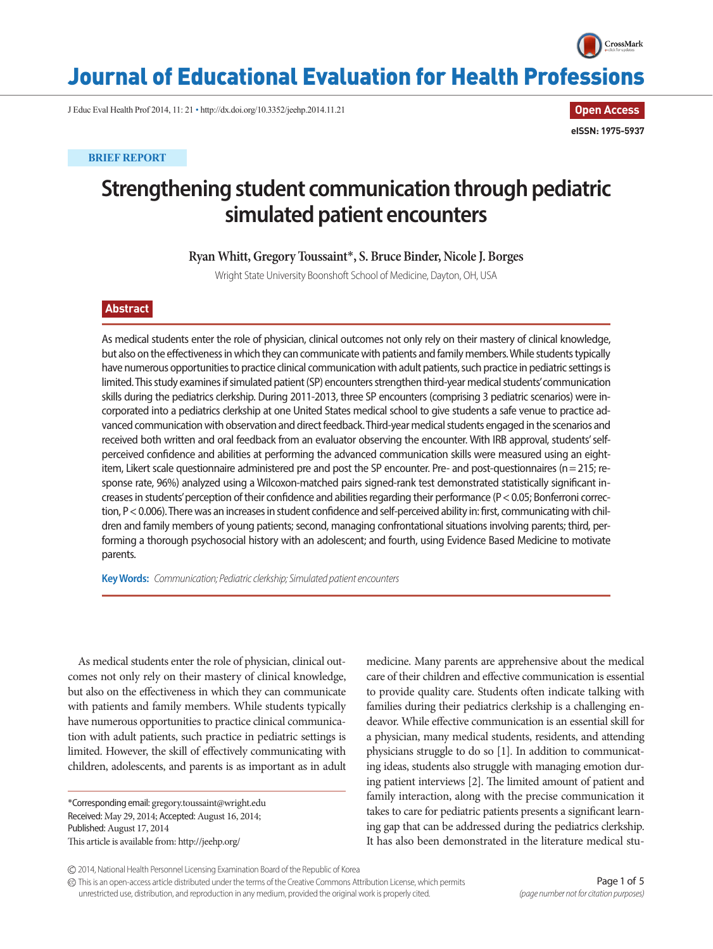

**Open Access**

**eISSN: 1975-5937**

## Journal of Educational Evaluation for Health Professions

J Educ Eval Health Prof 2014, 11: 21 • http://dx.doi.org/10.3352/jeehp.2014.11.21

**BRIEF REPORT**

# **Strengthening student communication through pediatric simulated patient encounters**

**Ryan Whitt, Gregory Toussaint**\***, S. Bruce Binder, Nicole J. Borges**

Wright State University Boonshoft School of Medicine, Dayton, OH, USA

## **Abstract**

As medical students enter the role of physician, clinical outcomes not only rely on their mastery of clinical knowledge, but also on the effectiveness in which they can communicate with patients and family members. While students typically have numerous opportunities to practice clinical communication with adult patients, such practice in pediatric settings is limited. This study examines if simulated patient (SP) encounters strengthen third-year medical students' communication skills during the pediatrics clerkship. During 2011-2013, three SP encounters (comprising 3 pediatric scenarios) were incorporated into a pediatrics clerkship at one United States medical school to give students a safe venue to practice advanced communication with observation and direct feedback. Third-year medical students engaged in the scenarios and received both written and oral feedback from an evaluator observing the encounter. With IRB approval, students' selfperceived confidence and abilities at performing the advanced communication skills were measured using an eightitem, Likert scale questionnaire administered pre and post the SP encounter. Pre- and post-questionnaires (n= 215; response rate, 96%) analyzed using a Wilcoxon-matched pairs signed-rank test demonstrated statistically significant increases in students' perception of their confidence and abilities regarding their performance (P< 0.05; Bonferroni correction, P< 0.006). There was an increases in student confidence and self-perceived ability in: first, communicating with children and family members of young patients; second, managing confrontational situations involving parents; third, performing a thorough psychosocial history with an adolescent; and fourth, using Evidence Based Medicine to motivate parents.

**Key Words:** *Communication; Pediatric clerkship; Simulated patient encounters*

As medical students enter the role of physician, clinical outcomes not only rely on their mastery of clinical knowledge, but also on the effectiveness in which they can communicate with patients and family members. While students typically have numerous opportunities to practice clinical communication with adult patients, such practice in pediatric settings is limited. However, the skill of effectively communicating with children, adolescents, and parents is as important as in adult

\*Corresponding email: gregory.toussaint@wright.edu Received: May 29, 2014; Accepted: August 16, 2014; Published: August 17, 2014 This article is available from: http://jeehp.org/

medicine. Many parents are apprehensive about the medical care of their children and effective communication is essential to provide quality care. Students often indicate talking with families during their pediatrics clerkship is a challenging endeavor. While effective communication is an essential skill for a physician, many medical students, residents, and attending physicians struggle to do so [1]. In addition to communicating ideas, students also struggle with managing emotion during patient interviews [2]. The limited amount of patient and family interaction, along with the precise communication it takes to care for pediatric patients presents a significant learning gap that can be addressed during the pediatrics clerkship. It has also been demonstrated in the literature medical stu-

2014, National Health Personnel Licensing Examination Board of the Republic of Korea

This is an open-access article distributed under the terms of the Creative Commons Attribution License, which permits unrestricted use, distribution, and reproduction in any medium, provided the original work is properly cited.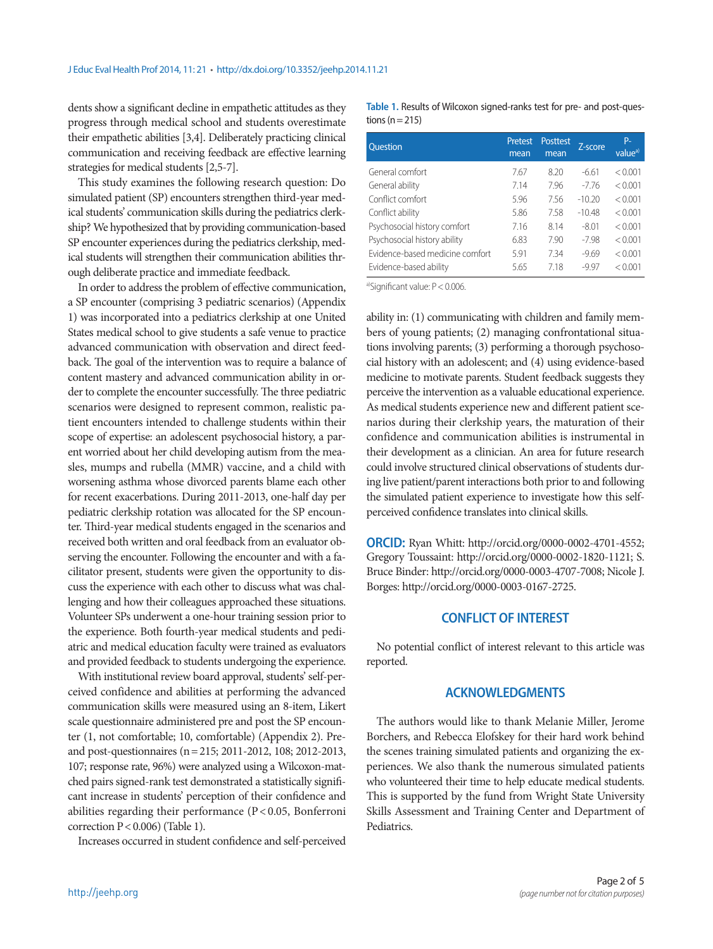dents show a significant decline in empathetic attitudes as they progress through medical school and students overestimate their empathetic abilities [3,4]. Deliberately practicing clinical communication and receiving feedback are effective learning strategies for medical students [2,5-7].

This study examines the following research question: Do simulated patient (SP) encounters strengthen third-year medical students' communication skills during the pediatrics clerkship? We hypothesized that by providing communication-based SP encounter experiences during the pediatrics clerkship, medical students will strengthen their communication abilities through deliberate practice and immediate feedback.

In order to address the problem of effective communication, a SP encounter (comprising 3 pediatric scenarios) (Appendix 1) was incorporated into a pediatrics clerkship at one United States medical school to give students a safe venue to practice advanced communication with observation and direct feedback. The goal of the intervention was to require a balance of content mastery and advanced communication ability in order to complete the encounter successfully. The three pediatric scenarios were designed to represent common, realistic patient encounters intended to challenge students within their scope of expertise: an adolescent psychosocial history, a parent worried about her child developing autism from the measles, mumps and rubella (MMR) vaccine, and a child with worsening asthma whose divorced parents blame each other for recent exacerbations. During 2011-2013, one-half day per pediatric clerkship rotation was allocated for the SP encounter. Third-year medical students engaged in the scenarios and received both written and oral feedback from an evaluator observing the encounter. Following the encounter and with a facilitator present, students were given the opportunity to discuss the experience with each other to discuss what was challenging and how their colleagues approached these situations. Volunteer SPs underwent a one-hour training session prior to the experience. Both fourth-year medical students and pediatric and medical education faculty were trained as evaluators and provided feedback to students undergoing the experience.

With institutional review board approval, students' self-perceived confidence and abilities at performing the advanced communication skills were measured using an 8-item, Likert scale questionnaire administered pre and post the SP encounter (1, not comfortable; 10, comfortable) (Appendix 2). Preand post-questionnaires (n= 215; 2011-2012, 108; 2012-2013, 107; response rate, 96%) were analyzed using a Wilcoxon-matched pairs signed-rank test demonstrated a statistically significant increase in students' perception of their confidence and abilities regarding their performance (P < 0.05, Bonferroni correction P< 0.006) (Table 1).

Increases occurred in student confidence and self-perceived

**Table 1.** Results of Wilcoxon signed-ranks test for pre- and post-questions ( $n = 215$ )

| <b>Ouestion</b>                 | Pretest<br>mean | <b>Posttest</b><br>mean | Z-score  | P-<br>value <sup>a)</sup> |
|---------------------------------|-----------------|-------------------------|----------|---------------------------|
| General comfort                 | 7.67            | 8.20                    | $-6.61$  | < 0.001                   |
| General ability                 | 7.14            | 7.96                    | $-7.76$  | < 0.001                   |
| Conflict comfort                | 5.96            | 7.56                    | $-10.20$ | < 0.001                   |
| Conflict ability                | 5.86            | 7.58                    | $-10.48$ | < 0.001                   |
| Psychosocial history comfort    | 7.16            | 814                     | $-8.01$  | < 0.001                   |
| Psychosocial history ability    | 6.83            | 7.90                    | $-7.98$  | < 0.001                   |
| Evidence-based medicine comfort | 5.91            | 7.34                    | $-9.69$  | < 0.001                   |
| Evidence-based ability          | 5.65            | 718                     | $-9.97$  | < 0.001                   |

a)Significant value: P < 0.006.

ability in: (1) communicating with children and family members of young patients; (2) managing confrontational situations involving parents; (3) performing a thorough psychosocial history with an adolescent; and (4) using evidence-based medicine to motivate parents. Student feedback suggests they perceive the intervention as a valuable educational experience. As medical students experience new and different patient scenarios during their clerkship years, the maturation of their confidence and communication abilities is instrumental in their development as a clinician. An area for future research could involve structured clinical observations of students during live patient/parent interactions both prior to and following the simulated patient experience to investigate how this selfperceived confidence translates into clinical skills.

**ORCID:** Ryan Whitt: http://orcid.org/0000-0002-4701-4552; Gregory Toussaint: http://orcid.org/0000-0002-1820-1121; S. Bruce Binder: http://orcid.org/0000-0003-4707-7008; Nicole J. Borges: http://orcid.org/0000-0003-0167-2725.

## **CONFLICT OF INTEREST**

No potential conflict of interest relevant to this article was reported.

### **ACKNOWLEDGMENTS**

The authors would like to thank Melanie Miller, Jerome Borchers, and Rebecca Elofskey for their hard work behind the scenes training simulated patients and organizing the experiences. We also thank the numerous simulated patients who volunteered their time to help educate medical students. This is supported by the fund from Wright State University Skills Assessment and Training Center and Department of Pediatrics.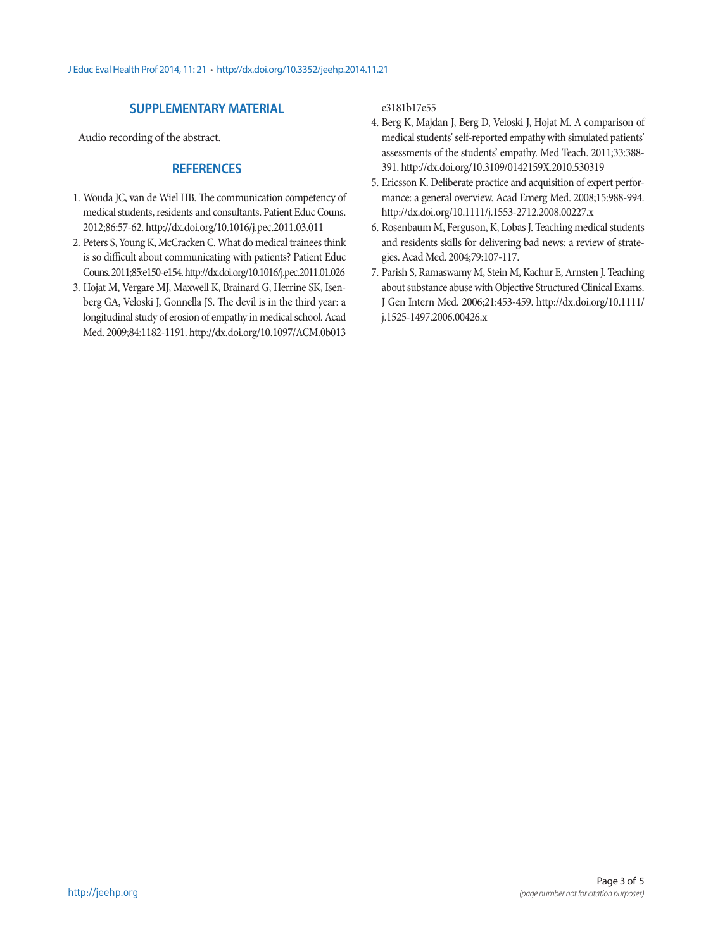## **SUPPLEMENTARY MATERIAL**

Audio recording of the abstract.

## **REFERENCES**

- 1. Wouda JC, van de Wiel HB. The communication competency of medical students, residents and consultants. Patient Educ Couns. 2012;86:57-62. http://dx.doi.org/10.1016/j.pec.2011.03.011
- 2. Peters S, Young K, McCracken C. What do medical trainees think is so difficult about communicating with patients? Patient Educ Couns. 2011;85:e150-e154. http://dx.doi.org/10.1016/j.pec.2011.01.026
- 3. Hojat M, Vergare MJ, Maxwell K, Brainard G, Herrine SK, Isenberg GA, Veloski J, Gonnella JS. The devil is in the third year: a longitudinal study of erosion of empathy in medical school. Acad Med. 2009;84:1182-1191. [http://dx.doi.org/10.1097/ACM.0b013](http://dx.doi.org/10.1097/ACM.0b013e3181b17e55)

[e3181b17e55](http://dx.doi.org/10.1097/ACM.0b013e3181b17e55)

- 4. Berg K, Majdan J, Berg D, Veloski J, Hojat M. A comparison of medical students' self-reported empathy with simulated patients' assessments of the students' empathy. Med Teach. 2011;33:388- 391. http://dx.doi.org/10.3109/0142159X.2010.530319
- 5. Ericsson K. Deliberate practice and acquisition of expert performance: a general overview. Acad Emerg Med. 2008;15:988-994. http://dx.doi.org/10.1111/j.1553-2712.2008.00227.x
- 6. Rosenbaum M, Ferguson, K, Lobas J. Teaching medical students and residents skills for delivering bad news: a review of strategies. Acad Med. 2004;79:107-117.
- 7. Parish S, Ramaswamy M, Stein M, Kachur E, Arnsten J. Teaching about substance abuse with Objective Structured Clinical Exams. J Gen Intern Med. 2006;21:453-459. [http://dx.doi.org/10.1111/](http://dx.doi.org/10.1111/j.1525-1497.2006.00426.x ) [j.1525-1497.2006.00426.x](http://dx.doi.org/10.1111/j.1525-1497.2006.00426.x )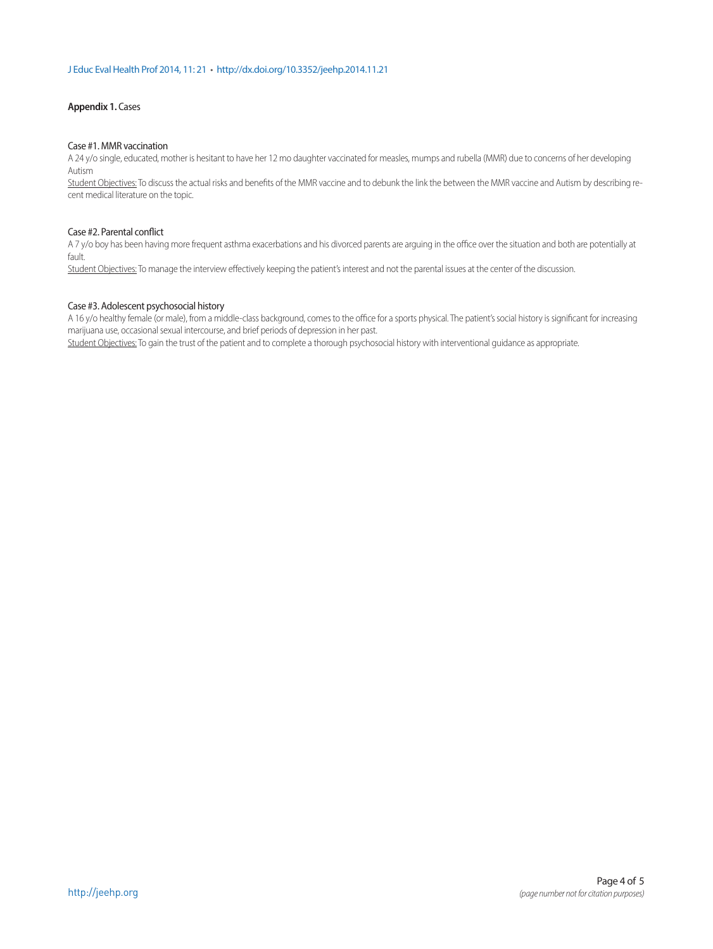#### **Appendix 1.** Cases

#### Case #1. MMR vaccination

A 24 y/o single, educated, mother is hesitant to have her 12 mo daughter vaccinated for measles, mumps and rubella (MMR) due to concerns of her developing Autism

Student Objectives: To discuss the actual risks and benefits of the MMR vaccine and to debunk the link the between the MMR vaccine and Autism by describing recent medical literature on the topic.

#### Case #2. Parental conflict

A 7 y/o boy has been having more frequent asthma exacerbations and his divorced parents are arguing in the office over the situation and both are potentially at fault.

Student Objectives: To manage the interview effectively keeping the patient's interest and not the parental issues at the center of the discussion.

#### Case #3. Adolescent psychosocial history

A 16 y/o healthy female (or male), from a middle-class background, comes to the office for a sports physical. The patient's social history is significant for increasing marijuana use, occasional sexual intercourse, and brief periods of depression in her past.

Student Objectives: To gain the trust of the patient and to complete a thorough psychosocial history with interventional quidance as appropriate.